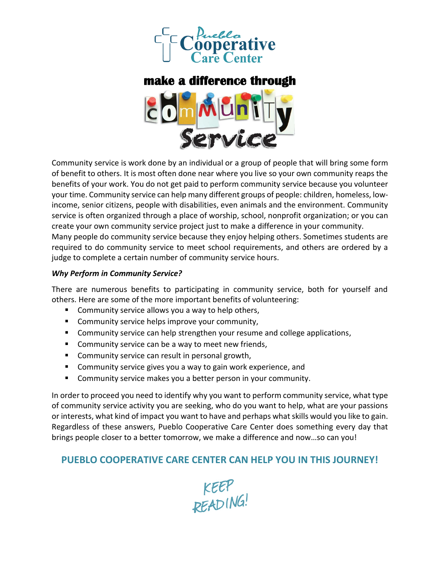

# **make a difference through**



Community service is work done by an individual or a group of people that will bring some form of benefit to others. It is most often done near where you live so your own community reaps the benefits of your work. You do not get paid to perform community service because you volunteer your time. Community service can help many different groups of people: children, homeless, lowincome, senior citizens, people with disabilities, even animals and the environment. Community service is often organized through a place of worship, school, nonprofit organization; or you can create your own community service project just to make a difference in your community. Many people do community service because they enjoy helping others. Sometimes students are required to do community service to meet school requirements, and others are ordered by a judge to complete a certain number of community service hours.

### *Why Perform in Community Service?*

There are numerous benefits to participating in community service, both for yourself and others. Here are some of the more important benefits of volunteering:

- Community service allows you a way to help others,
- Community service helps improve your community,
- Community service can help strengthen your resume and college applications,
- Community service can be a way to meet new friends,
- Community service can result in personal growth,
- Community service gives you a way to gain work experience, and
- Community service makes you a better person in your community.

In order to proceed you need to identify why you want to perform community service, what type of community service activity you are seeking, who do you want to help, what are your passions or interests, what kind of impact you want to have and perhaps what skills would you like to gain. Regardless of these answers, Pueblo Cooperative Care Center does something every day that brings people closer to a better tomorrow, we make a difference and now…so can you!

## **PUEBLO COOPERATIVE CARE CENTER CAN HELP YOU IN THIS JOURNEY!**

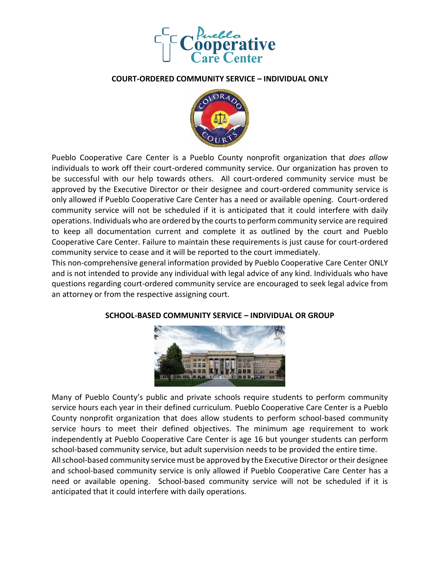

#### **COURT-ORDERED COMMUNITY SERVICE – INDIVIDUAL ONLY**



Pueblo Cooperative Care Center is a Pueblo County nonprofit organization that *does allow* individuals to work off their court-ordered community service. Our organization has proven to be successful with our help towards others. All court-ordered community service must be approved by the Executive Director or their designee and court-ordered community service is only allowed if Pueblo Cooperative Care Center has a need or available opening. Court-ordered community service will not be scheduled if it is anticipated that it could interfere with daily operations. Individuals who are ordered by the courts to perform community service are required to keep all documentation current and complete it as outlined by the court and Pueblo Cooperative Care Center. Failure to maintain these requirements is just cause for court-ordered community service to cease and it will be reported to the court immediately.

This non-comprehensive general information provided by Pueblo Cooperative Care Center ONLY and is not intended to provide any individual with legal advice of any kind. Individuals who have questions regarding court-ordered community service are encouraged to seek legal advice from an attorney or from the respective assigning court.



### **SCHOOL-BASED COMMUNITY SERVICE – INDIVIDUAL OR GROUP**

Many of Pueblo County's public and private schools require students to perform community service hours each year in their defined curriculum. Pueblo Cooperative Care Center is a Pueblo County nonprofit organization that does allow students to perform school-based community service hours to meet their defined objectives. The minimum age requirement to work independently at Pueblo Cooperative Care Center is age 16 but younger students can perform school-based community service, but adult supervision needs to be provided the entire time. All school-based community service must be approved by the Executive Director or their designee and school-based community service is only allowed if Pueblo Cooperative Care Center has a need or available opening. School-based community service will not be scheduled if it is

anticipated that it could interfere with daily operations.